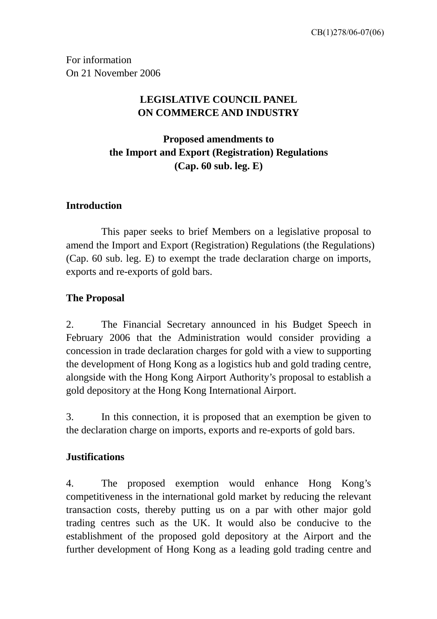For information On 21 November 2006

# **LEGISLATIVE COUNCIL PANEL ON COMMERCE AND INDUSTRY**

**Proposed amendments to the Import and Export (Registration) Regulations (Cap. 60 sub. leg. E)** 

## **Introduction**

 This paper seeks to brief Members on a legislative proposal to amend the Import and Export (Registration) Regulations (the Regulations) (Cap. 60 sub. leg. E) to exempt the trade declaration charge on imports, exports and re-exports of gold bars.

## **The Proposal**

2. The Financial Secretary announced in his Budget Speech in February 2006 that the Administration would consider providing a concession in trade declaration charges for gold with a view to supporting the development of Hong Kong as a logistics hub and gold trading centre, alongside with the Hong Kong Airport Authority's proposal to establish a gold depository at the Hong Kong International Airport.

3. In this connection, it is proposed that an exemption be given to the declaration charge on imports, exports and re-exports of gold bars.

## **Justifications**

4. The proposed exemption would enhance Hong Kong's competitiveness in the international gold market by reducing the relevant transaction costs, thereby putting us on a par with other major gold trading centres such as the UK. It would also be conducive to the establishment of the proposed gold depository at the Airport and the further development of Hong Kong as a leading gold trading centre and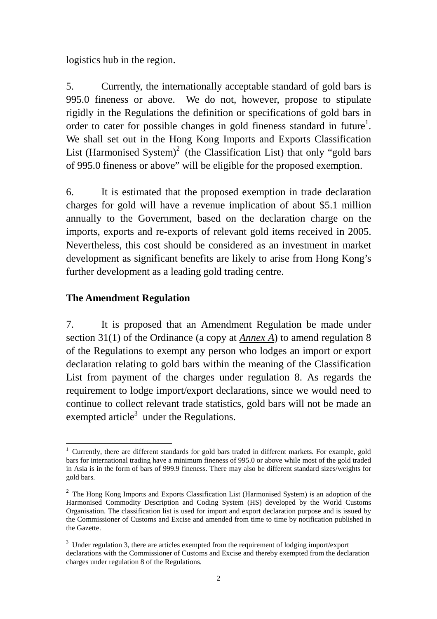logistics hub in the region.

5. Currently, the internationally acceptable standard of gold bars is 995.0 fineness or above. We do not, however, propose to stipulate rigidly in the Regulations the definition or specifications of gold bars in order to cater for possible changes in gold fineness standard in future<sup>[1](#page-1-0)</sup>. We shall set out in the Hong Kong Imports and Exports Classification List (Harmonised System)<sup>[2](#page-1-1)</sup> (the Classification List) that only "gold bars of 995.0 fineness or above" will be eligible for the proposed exemption.

6. It is estimated that the proposed exemption in trade declaration charges for gold will have a revenue implication of about \$5.1 million annually to the Government, based on the declaration charge on the imports, exports and re-exports of relevant gold items received in 2005. Nevertheless, this cost should be considered as an investment in market development as significant benefits are likely to arise from Hong Kong's further development as a leading gold trading centre.

### **The Amendment Regulation**

7. It is proposed that an Amendment Regulation be made under section 31(1) of the Ordinance (a copy at *Annex A*) to amend regulation 8 of the Regulations to exempt any person who lodges an import or export declaration relating to gold bars within the meaning of the Classification List from payment of the charges under regulation 8. As regards the requirement to lodge import/export declarations, since we would need to continue to collect relevant trade statistics, gold bars will not be made an exempted article<sup>[3](#page-1-2)</sup> under the Regulations.

<span id="page-1-0"></span> $\overline{a}$ <sup>1</sup> Currently, there are different standards for gold bars traded in different markets. For example, gold bars for international trading have a minimum fineness of 995.0 or above while most of the gold traded in Asia is in the form of bars of 999.9 fineness. There may also be different standard sizes/weights for gold bars.

<span id="page-1-1"></span><sup>&</sup>lt;sup>2</sup> The Hong Kong Imports and Exports Classification List (Harmonised System) is an adoption of the Harmonised Commodity Description and Coding System (HS) developed by the World Customs Organisation. The classification list is used for import and export declaration purpose and is issued by the Commissioner of Customs and Excise and amended from time to time by notification published in the Gazette.

<span id="page-1-2"></span> $3 \text{ Under regulation 3, there are articles extended from the requirement of loading import/export}$ declarations with the Commissioner of Customs and Excise and thereby exempted from the declaration charges under regulation 8 of the Regulations.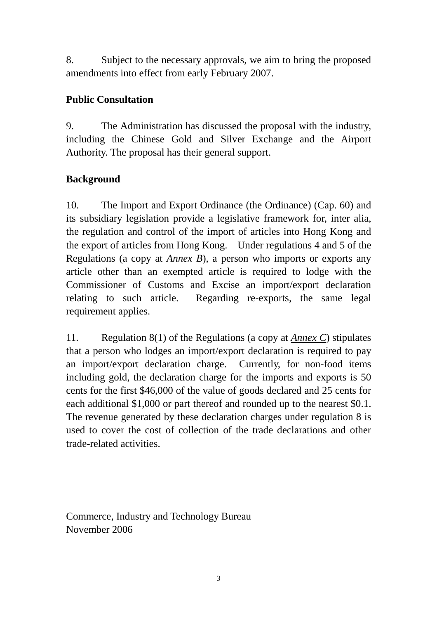8. Subject to the necessary approvals, we aim to bring the proposed amendments into effect from early February 2007.

# **Public Consultation**

9. The Administration has discussed the proposal with the industry, including the Chinese Gold and Silver Exchange and the Airport Authority. The proposal has their general support.

# **Background**

10. The Import and Export Ordinance (the Ordinance) (Cap. 60) and its subsidiary legislation provide a legislative framework for, inter alia, the regulation and control of the import of articles into Hong Kong and the export of articles from Hong Kong. Under regulations 4 and 5 of the Regulations (a copy at *Annex B*), a person who imports or exports any article other than an exempted article is required to lodge with the Commissioner of Customs and Excise an import/export declaration relating to such article. Regarding re-exports, the same legal requirement applies.

11. Regulation 8(1) of the Regulations (a copy at *Annex C*) stipulates that a person who lodges an import/export declaration is required to pay an import/export declaration charge. Currently, for non-food items including gold, the declaration charge for the imports and exports is 50 cents for the first \$46,000 of the value of goods declared and 25 cents for each additional \$1,000 or part thereof and rounded up to the nearest \$0.1. The revenue generated by these declaration charges under regulation 8 is used to cover the cost of collection of the trade declarations and other trade-related activities.

Commerce, Industry and Technology Bureau November 2006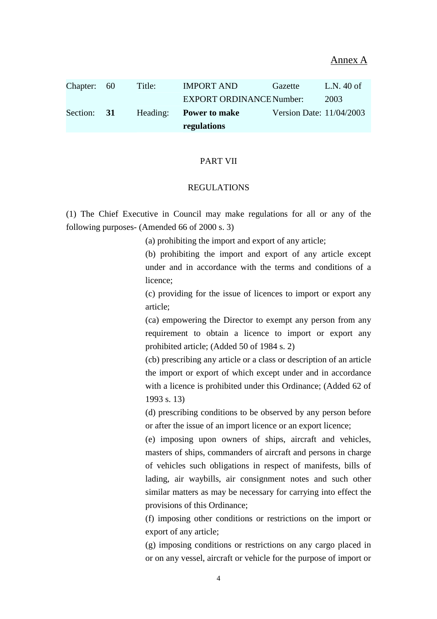Annex A

|             |          | regulations                     |                          |            |
|-------------|----------|---------------------------------|--------------------------|------------|
| Section: 31 | Heading: | <b>Power to make</b>            | Version Date: 11/04/2003 |            |
|             |          | <b>EXPORT ORDINANCE Number:</b> |                          | 2003       |
| Chapter: 60 | Title:   | <b>IMPORT AND</b>               | Gazette                  | L.N. 40 of |

#### PART VII

### REGULATIONS

(1) The Chief Executive in Council may make regulations for all or any of the following purposes- (Amended 66 of 2000 s. 3)

(a) prohibiting the import and export of any article;

(b) prohibiting the import and export of any article except under and in accordance with the terms and conditions of a licence;

(c) providing for the issue of licences to import or export any article;

(ca) empowering the Director to exempt any person from any requirement to obtain a licence to import or export any prohibited article; (Added 50 of 1984 s. 2)

(cb) prescribing any article or a class or description of an article the import or export of which except under and in accordance with a licence is prohibited under this Ordinance; (Added 62 of 1993 s. 13)

(d) prescribing conditions to be observed by any person before or after the issue of an import licence or an export licence;

(e) imposing upon owners of ships, aircraft and vehicles, masters of ships, commanders of aircraft and persons in charge of vehicles such obligations in respect of manifests, bills of lading, air waybills, air consignment notes and such other similar matters as may be necessary for carrying into effect the provisions of this Ordinance;

(f) imposing other conditions or restrictions on the import or export of any article;

(g) imposing conditions or restrictions on any cargo placed in or on any vessel, aircraft or vehicle for the purpose of import or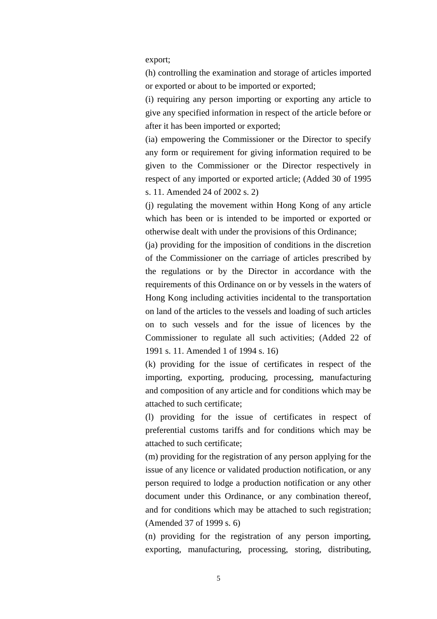export;

(h) controlling the examination and storage of articles imported or exported or about to be imported or exported;

(i) requiring any person importing or exporting any article to give any specified information in respect of the article before or after it has been imported or exported;

(ia) empowering the Commissioner or the Director to specify any form or requirement for giving information required to be given to the Commissioner or the Director respectively in respect of any imported or exported article; (Added 30 of 1995 s. 11. Amended 24 of 2002 s. 2)

(j) regulating the movement within Hong Kong of any article which has been or is intended to be imported or exported or otherwise dealt with under the provisions of this Ordinance;

(ja) providing for the imposition of conditions in the discretion of the Commissioner on the carriage of articles prescribed by the regulations or by the Director in accordance with the requirements of this Ordinance on or by vessels in the waters of Hong Kong including activities incidental to the transportation on land of the articles to the vessels and loading of such articles on to such vessels and for the issue of licences by the Commissioner to regulate all such activities; (Added 22 of 1991 s. 11. Amended 1 of 1994 s. 16)

(k) providing for the issue of certificates in respect of the importing, exporting, producing, processing, manufacturing and composition of any article and for conditions which may be attached to such certificate;

(l) providing for the issue of certificates in respect of preferential customs tariffs and for conditions which may be attached to such certificate;

(m) providing for the registration of any person applying for the issue of any licence or validated production notification, or any person required to lodge a production notification or any other document under this Ordinance, or any combination thereof, and for conditions which may be attached to such registration; (Amended 37 of 1999 s. 6)

(n) providing for the registration of any person importing, exporting, manufacturing, processing, storing, distributing,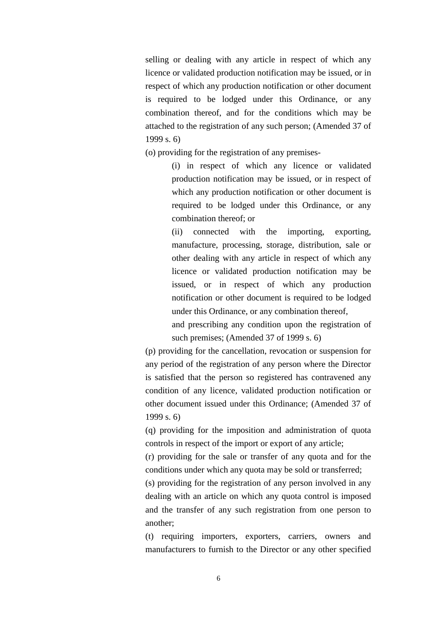selling or dealing with any article in respect of which any licence or validated production notification may be issued, or in respect of which any production notification or other document is required to be lodged under this Ordinance, or any combination thereof, and for the conditions which may be attached to the registration of any such person; (Amended 37 of 1999 s. 6)

(o) providing for the registration of any premises-

(i) in respect of which any licence or validated production notification may be issued, or in respect of which any production notification or other document is required to be lodged under this Ordinance, or any combination thereof; or

(ii) connected with the importing, exporting, manufacture, processing, storage, distribution, sale or other dealing with any article in respect of which any licence or validated production notification may be issued, or in respect of which any production notification or other document is required to be lodged under this Ordinance, or any combination thereof,

and prescribing any condition upon the registration of such premises; (Amended 37 of 1999 s. 6)

(p) providing for the cancellation, revocation or suspension for any period of the registration of any person where the Director is satisfied that the person so registered has contravened any condition of any licence, validated production notification or other document issued under this Ordinance; (Amended 37 of 1999 s. 6)

(q) providing for the imposition and administration of quota controls in respect of the import or export of any article;

(r) providing for the sale or transfer of any quota and for the conditions under which any quota may be sold or transferred;

(s) providing for the registration of any person involved in any dealing with an article on which any quota control is imposed and the transfer of any such registration from one person to another;

(t) requiring importers, exporters, carriers, owners and manufacturers to furnish to the Director or any other specified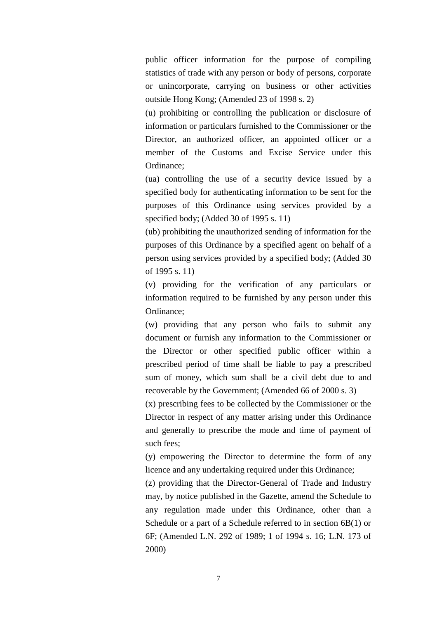public officer information for the purpose of compiling statistics of trade with any person or body of persons, corporate or unincorporate, carrying on business or other activities outside Hong Kong; (Amended 23 of 1998 s. 2)

(u) prohibiting or controlling the publication or disclosure of information or particulars furnished to the Commissioner or the Director, an authorized officer, an appointed officer or a member of the Customs and Excise Service under this Ordinance;

(ua) controlling the use of a security device issued by a specified body for authenticating information to be sent for the purposes of this Ordinance using services provided by a specified body; (Added 30 of 1995 s. 11)

(ub) prohibiting the unauthorized sending of information for the purposes of this Ordinance by a specified agent on behalf of a person using services provided by a specified body; (Added 30 of 1995 s. 11)

(v) providing for the verification of any particulars or information required to be furnished by any person under this Ordinance;

(w) providing that any person who fails to submit any document or furnish any information to the Commissioner or the Director or other specified public officer within a prescribed period of time shall be liable to pay a prescribed sum of money, which sum shall be a civil debt due to and recoverable by the Government; (Amended 66 of 2000 s. 3)

(x) prescribing fees to be collected by the Commissioner or the Director in respect of any matter arising under this Ordinance and generally to prescribe the mode and time of payment of such fees;

(y) empowering the Director to determine the form of any licence and any undertaking required under this Ordinance;

(z) providing that the Director-General of Trade and Industry may, by notice published in the Gazette, amend the Schedule to any regulation made under this Ordinance, other than a Schedule or a part of a Schedule referred to in section 6B(1) or 6F; (Amended L.N. 292 of 1989; 1 of 1994 s. 16; L.N. 173 of 2000)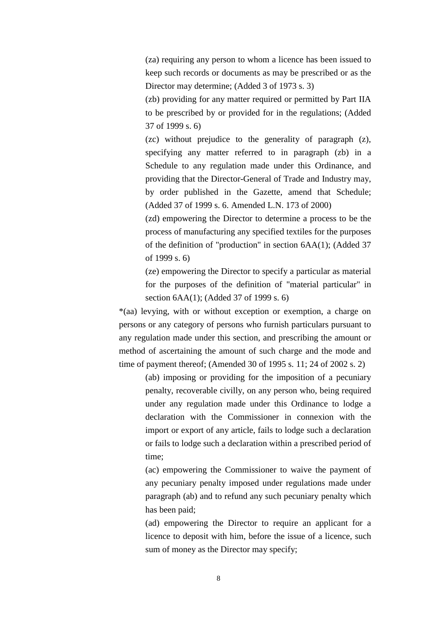(za) requiring any person to whom a licence has been issued to keep such records or documents as may be prescribed or as the Director may determine; (Added 3 of 1973 s. 3)

(zb) providing for any matter required or permitted by Part IIA to be prescribed by or provided for in the regulations; (Added 37 of 1999 s. 6)

(zc) without prejudice to the generality of paragraph (z), specifying any matter referred to in paragraph (zb) in a Schedule to any regulation made under this Ordinance, and providing that the Director-General of Trade and Industry may, by order published in the Gazette, amend that Schedule; (Added 37 of 1999 s. 6. Amended L.N. 173 of 2000)

(zd) empowering the Director to determine a process to be the process of manufacturing any specified textiles for the purposes of the definition of "production" in section 6AA(1); (Added 37 of 1999 s. 6)

(ze) empowering the Director to specify a particular as material for the purposes of the definition of "material particular" in section 6AA(1); (Added 37 of 1999 s. 6)

\*(aa) levying, with or without exception or exemption, a charge on persons or any category of persons who furnish particulars pursuant to any regulation made under this section, and prescribing the amount or method of ascertaining the amount of such charge and the mode and time of payment thereof; (Amended 30 of 1995 s. 11; 24 of 2002 s. 2)

> (ab) imposing or providing for the imposition of a pecuniary penalty, recoverable civilly, on any person who, being required under any regulation made under this Ordinance to lodge a declaration with the Commissioner in connexion with the import or export of any article, fails to lodge such a declaration or fails to lodge such a declaration within a prescribed period of time;

> (ac) empowering the Commissioner to waive the payment of any pecuniary penalty imposed under regulations made under paragraph (ab) and to refund any such pecuniary penalty which has been paid;

> (ad) empowering the Director to require an applicant for a licence to deposit with him, before the issue of a licence, such sum of money as the Director may specify;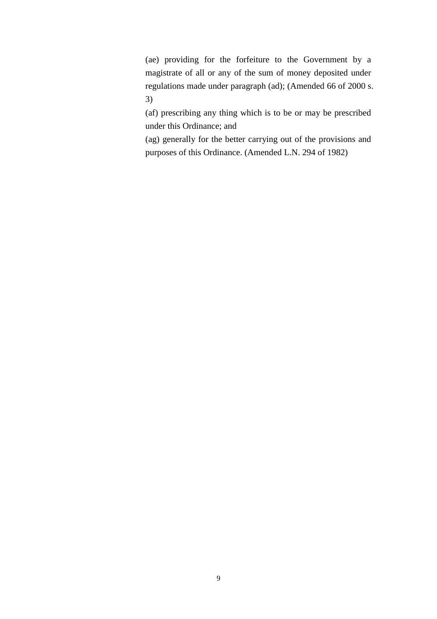(ae) providing for the forfeiture to the Government by a magistrate of all or any of the sum of money deposited under regulations made under paragraph (ad); (Amended 66 of 2000 s. 3)

(af) prescribing any thing which is to be or may be prescribed under this Ordinance; and

(ag) generally for the better carrying out of the provisions and purposes of this Ordinance. (Amended L.N. 294 of 1982)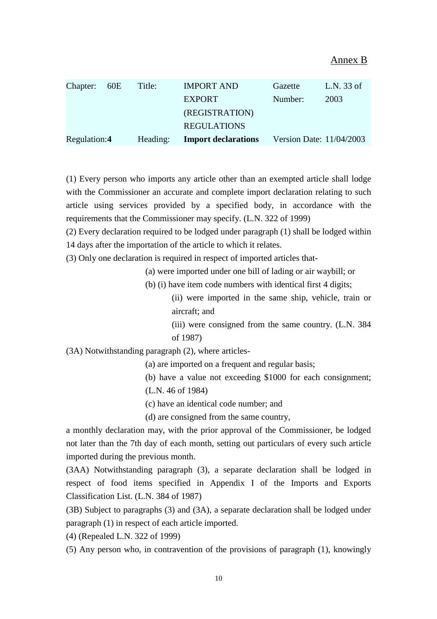| Chapter: 60E | Title:   | <b>IMPORT AND</b>          | Gazette                  | L.N. $33$ of |
|--------------|----------|----------------------------|--------------------------|--------------|
|              |          | <b>EXPORT</b>              | Number:                  | 2003         |
|              |          | (REGISTRATION)             |                          |              |
|              |          | <b>REGULATIONS</b>         |                          |              |
| Regulation:4 | Heading: | <b>Import declarations</b> | Version Date: 11/04/2003 |              |

(1) Every person who imports any article other than an exempted article shall lodge with the Commissioner an accurate and complete import declaration relating to such article using services provided by a specified body, in accordance with the requirements that the Commissioner may specify. (L.N. 322 of 1999)

(2) Every declaration required to be lodged under paragraph (1) shall be lodged within 14 days after the importation of the article to which it relates.

(3) Only one declaration is required in respect of imported articles that-

(a) were imported under one bill of lading or air waybill; or

(b) (i) have item code numbers with identical first 4 digits;

(ii) were imported in the same ship, vehicle, train or aircraft; and

(iii) were consigned from the same country. (L.N. 384 of 1987)

(3A) Notwithstanding paragraph (2), where articles-

(a) are imported on a frequent and regular basis;

(b) have a value not exceeding \$1000 for each consignment; (L.N. 46 of 1984)

(c) have an identical code number; and

(d) are consigned from the same country,

a monthly declaration may, with the prior approval of the Commissioner, be lodged not later than the 7th day of each month, setting out particulars of every such article imported during the previous month.

(3AA) Notwithstanding paragraph (3), a separate declaration shall be lodged in respect of food items specified in Appendix I of the Imports and Exports Classification List. (L.N. 384 of 1987)

(3B) Subject to paragraphs (3) and (3A), a separate declaration shall be lodged under paragraph (1) in respect of each article imported.

(4) (Repealed L.N. 322 of 1999)

(5) Any person who, in contravention of the provisions of paragraph (1), knowingly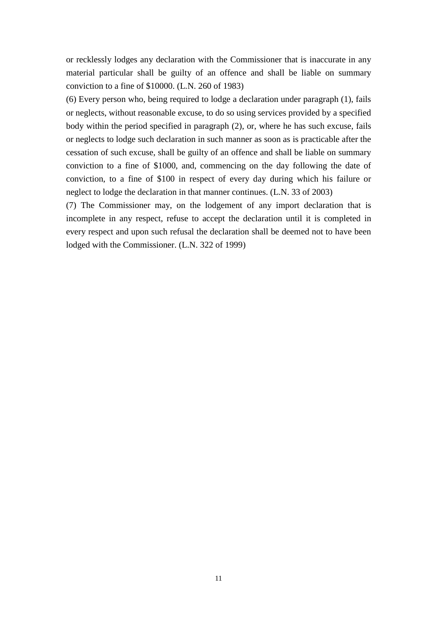or recklessly lodges any declaration with the Commissioner that is inaccurate in any material particular shall be guilty of an offence and shall be liable on summary conviction to a fine of \$10000. (L.N. 260 of 1983)

(6) Every person who, being required to lodge a declaration under paragraph (1), fails or neglects, without reasonable excuse, to do so using services provided by a specified body within the period specified in paragraph (2), or, where he has such excuse, fails or neglects to lodge such declaration in such manner as soon as is practicable after the cessation of such excuse, shall be guilty of an offence and shall be liable on summary conviction to a fine of \$1000, and, commencing on the day following the date of conviction, to a fine of \$100 in respect of every day during which his failure or neglect to lodge the declaration in that manner continues. (L.N. 33 of 2003)

(7) The Commissioner may, on the lodgement of any import declaration that is incomplete in any respect, refuse to accept the declaration until it is completed in every respect and upon such refusal the declaration shall be deemed not to have been lodged with the Commissioner. (L.N. 322 of 1999)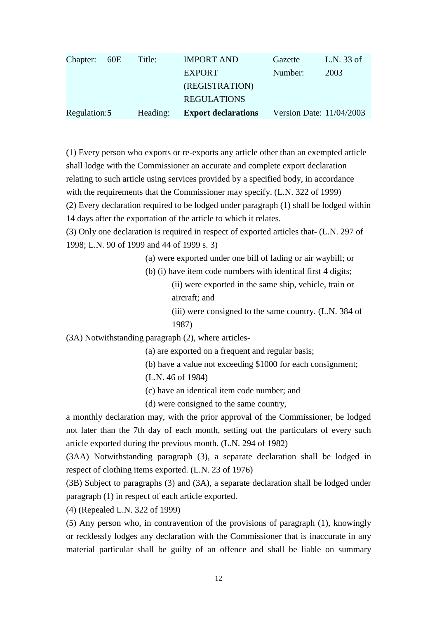| Chapter: 60E  | Title:   | <b>IMPORT AND</b>          | Gazette | L.N. 33 of               |
|---------------|----------|----------------------------|---------|--------------------------|
|               |          | <b>EXPORT</b>              | Number: | 2003                     |
|               |          | (REGISTRATION)             |         |                          |
|               |          | <b>REGULATIONS</b>         |         |                          |
| Regulation: 5 | Heading: | <b>Export declarations</b> |         | Version Date: 11/04/2003 |

(1) Every person who exports or re-exports any article other than an exempted article shall lodge with the Commissioner an accurate and complete export declaration relating to such article using services provided by a specified body, in accordance with the requirements that the Commissioner may specify. (L.N. 322 of 1999)

(2) Every declaration required to be lodged under paragraph (1) shall be lodged within

14 days after the exportation of the article to which it relates.

(3) Only one declaration is required in respect of exported articles that- (L.N. 297 of 1998; L.N. 90 of 1999 and 44 of 1999 s. 3)

(a) were exported under one bill of lading or air waybill; or

(b) (i) have item code numbers with identical first 4 digits; (ii) were exported in the same ship, vehicle, train or aircraft; and

> (iii) were consigned to the same country. (L.N. 384 of 1987)

(3A) Notwithstanding paragraph (2), where articles-

(a) are exported on a frequent and regular basis;

(b) have a value not exceeding \$1000 for each consignment;

(L.N. 46 of 1984)

(c) have an identical item code number; and

(d) were consigned to the same country,

a monthly declaration may, with the prior approval of the Commissioner, be lodged not later than the 7th day of each month, setting out the particulars of every such article exported during the previous month. (L.N. 294 of 1982)

(3AA) Notwithstanding paragraph (3), a separate declaration shall be lodged in respect of clothing items exported. (L.N. 23 of 1976)

(3B) Subject to paragraphs (3) and (3A), a separate declaration shall be lodged under paragraph (1) in respect of each article exported.

(4) (Repealed L.N. 322 of 1999)

(5) Any person who, in contravention of the provisions of paragraph (1), knowingly or recklessly lodges any declaration with the Commissioner that is inaccurate in any material particular shall be guilty of an offence and shall be liable on summary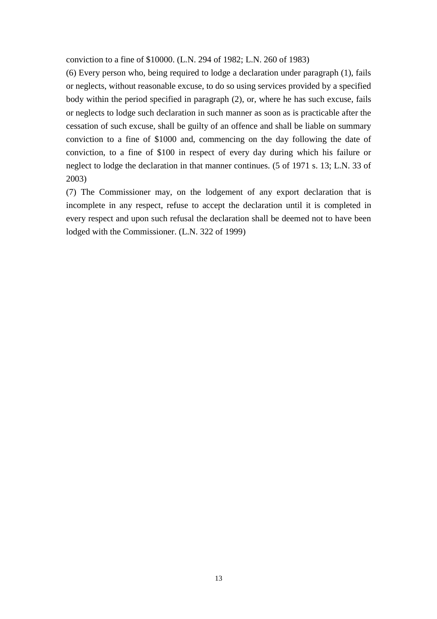conviction to a fine of \$10000. (L.N. 294 of 1982; L.N. 260 of 1983)

(6) Every person who, being required to lodge a declaration under paragraph (1), fails or neglects, without reasonable excuse, to do so using services provided by a specified body within the period specified in paragraph (2), or, where he has such excuse, fails or neglects to lodge such declaration in such manner as soon as is practicable after the cessation of such excuse, shall be guilty of an offence and shall be liable on summary conviction to a fine of \$1000 and, commencing on the day following the date of conviction, to a fine of \$100 in respect of every day during which his failure or neglect to lodge the declaration in that manner continues. (5 of 1971 s. 13; L.N. 33 of 2003)

(7) The Commissioner may, on the lodgement of any export declaration that is incomplete in any respect, refuse to accept the declaration until it is completed in every respect and upon such refusal the declaration shall be deemed not to have been lodged with the Commissioner. (L.N. 322 of 1999)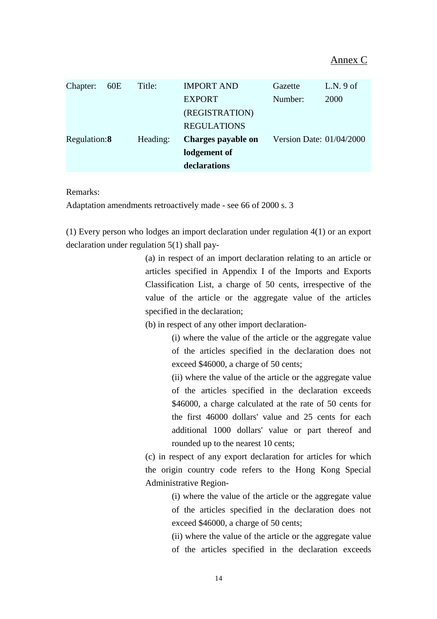| Chapter:     | 60E | Title:   | <b>IMPORT AND</b>  | Gazette                  | $L.N.9$ of |
|--------------|-----|----------|--------------------|--------------------------|------------|
|              |     |          | <b>EXPORT</b>      | Number:                  | 2000       |
|              |     |          | (REGISTRATION)     |                          |            |
|              |     |          | <b>REGULATIONS</b> |                          |            |
| Regulation:8 |     | Heading: | Charges payable on | Version Date: 01/04/2000 |            |
|              |     |          | lodgement of       |                          |            |
|              |     |          | declarations       |                          |            |

Remarks:

Adaptation amendments retroactively made - see 66 of 2000 s. 3

(1) Every person who lodges an import declaration under regulation 4(1) or an export declaration under regulation 5(1) shall pay-

> (a) in respect of an import declaration relating to an article or articles specified in Appendix I of the Imports and Exports Classification List, a charge of 50 cents, irrespective of the value of the article or the aggregate value of the articles specified in the declaration;

(b) in respect of any other import declaration-

(i) where the value of the article or the aggregate value of the articles specified in the declaration does not exceed \$46000, a charge of 50 cents;

(ii) where the value of the article or the aggregate value of the articles specified in the declaration exceeds \$46000, a charge calculated at the rate of 50 cents for the first 46000 dollars' value and 25 cents for each additional 1000 dollars' value or part thereof and rounded up to the nearest 10 cents;

(c) in respect of any export declaration for articles for which the origin country code refers to the Hong Kong Special Administrative Region-

> (i) where the value of the article or the aggregate value of the articles specified in the declaration does not exceed \$46000, a charge of 50 cents;

> (ii) where the value of the article or the aggregate value of the articles specified in the declaration exceeds